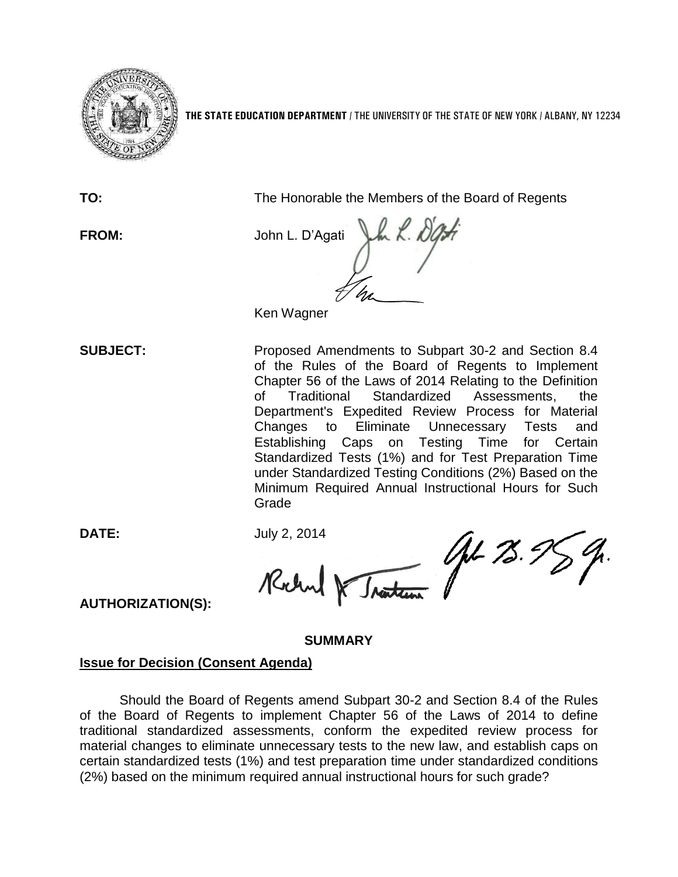

**THE STATE EDUCATION DEPARTMENT** / THE UNIVERSITY OF THE STATE OF NEW YORK / ALBANY, NY 12234

**TO:** The Honorable the Members of the Board of Regents

**FROM:** John L. D'Agati Ken Wagner

**SUBJECT:** Proposed Amendments to Subpart 30-2 and Section 8.4 of the Rules of the Board of Regents to Implement Chapter 56 of the Laws of 2014 Relating to the Definition of Traditional Standardized Assessments, the Department's Expedited Review Process for Material Changes to Eliminate Unnecessary Tests and Establishing Caps on Testing Time for Certain Standardized Tests (1%) and for Test Preparation Time under Standardized Testing Conditions (2%) Based on the Minimum Required Annual Instructional Hours for Such Grade

**DATE:** July 2, 2014

Traiten AL 75.5 Rochn

**AUTHORIZATION(S):**

### **SUMMARY**

### **Issue for Decision (Consent Agenda)**

Should the Board of Regents amend Subpart 30-2 and Section 8.4 of the Rules of the Board of Regents to implement Chapter 56 of the Laws of 2014 to define traditional standardized assessments, conform the expedited review process for material changes to eliminate unnecessary tests to the new law, and establish caps on certain standardized tests (1%) and test preparation time under standardized conditions (2%) based on the minimum required annual instructional hours for such grade?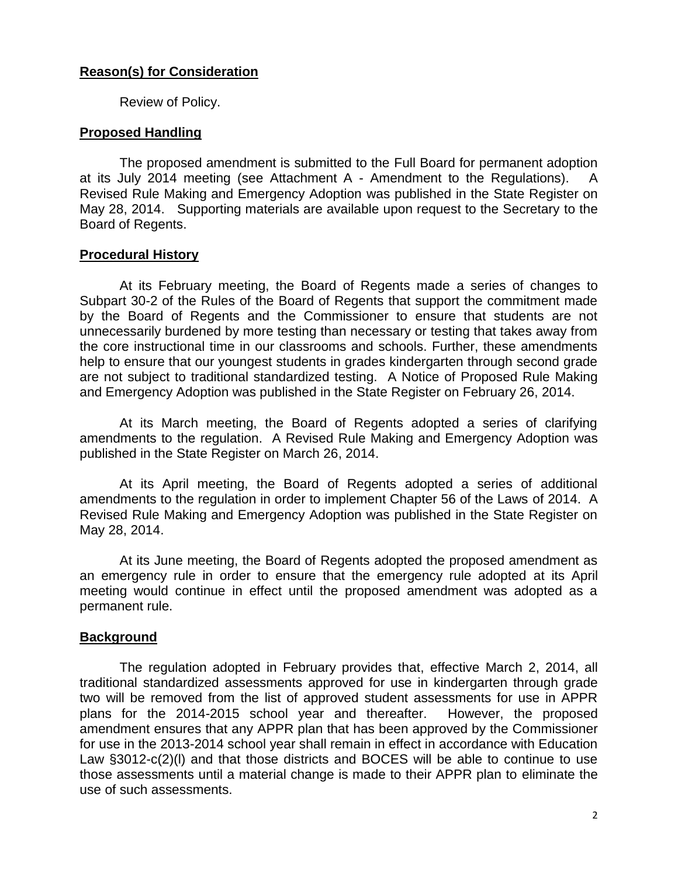# **Reason(s) for Consideration**

Review of Policy.

## **Proposed Handling**

The proposed amendment is submitted to the Full Board for permanent adoption at its July 2014 meeting (see Attachment A - Amendment to the Regulations). A Revised Rule Making and Emergency Adoption was published in the State Register on May 28, 2014. Supporting materials are available upon request to the Secretary to the Board of Regents.

## **Procedural History**

At its February meeting, the Board of Regents made a series of changes to Subpart 30-2 of the Rules of the Board of Regents that support the commitment made by the Board of Regents and the Commissioner to ensure that students are not unnecessarily burdened by more testing than necessary or testing that takes away from the core instructional time in our classrooms and schools. Further, these amendments help to ensure that our youngest students in grades kindergarten through second grade are not subject to traditional standardized testing. A Notice of Proposed Rule Making and Emergency Adoption was published in the State Register on February 26, 2014.

At its March meeting, the Board of Regents adopted a series of clarifying amendments to the regulation. A Revised Rule Making and Emergency Adoption was published in the State Register on March 26, 2014.

At its April meeting, the Board of Regents adopted a series of additional amendments to the regulation in order to implement Chapter 56 of the Laws of 2014. A Revised Rule Making and Emergency Adoption was published in the State Register on May 28, 2014.

At its June meeting, the Board of Regents adopted the proposed amendment as an emergency rule in order to ensure that the emergency rule adopted at its April meeting would continue in effect until the proposed amendment was adopted as a permanent rule.

## **Background**

The regulation adopted in February provides that, effective March 2, 2014, all traditional standardized assessments approved for use in kindergarten through grade two will be removed from the list of approved student assessments for use in APPR plans for the 2014-2015 school year and thereafter. However, the proposed amendment ensures that any APPR plan that has been approved by the Commissioner for use in the 2013-2014 school year shall remain in effect in accordance with Education Law §3012-c(2)(l) and that those districts and BOCES will be able to continue to use those assessments until a material change is made to their APPR plan to eliminate the use of such assessments.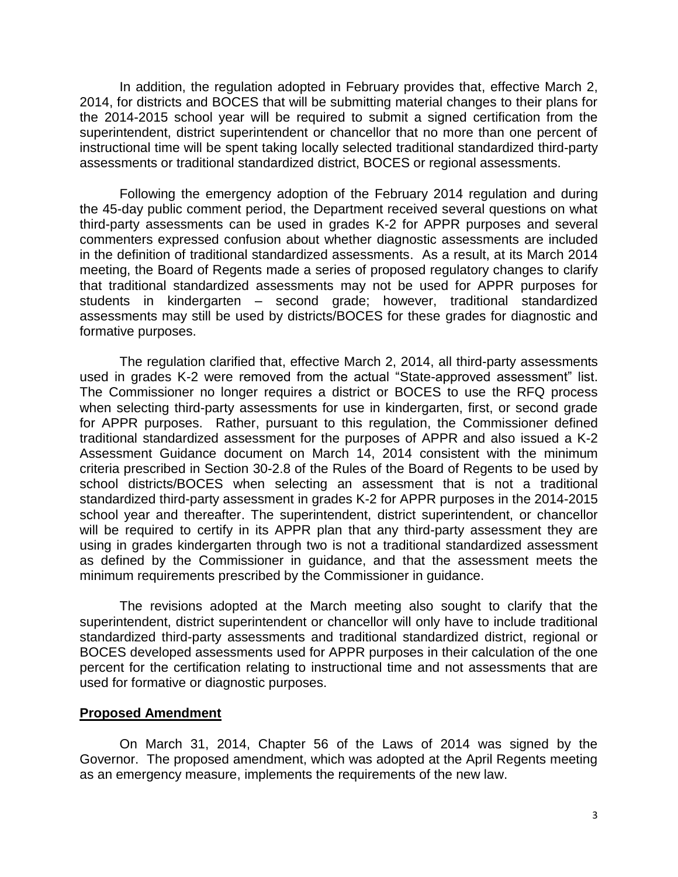In addition, the regulation adopted in February provides that, effective March 2, 2014, for districts and BOCES that will be submitting material changes to their plans for the 2014-2015 school year will be required to submit a signed certification from the superintendent, district superintendent or chancellor that no more than one percent of instructional time will be spent taking locally selected traditional standardized third-party assessments or traditional standardized district, BOCES or regional assessments.

Following the emergency adoption of the February 2014 regulation and during the 45-day public comment period, the Department received several questions on what third-party assessments can be used in grades K-2 for APPR purposes and several commenters expressed confusion about whether diagnostic assessments are included in the definition of traditional standardized assessments. As a result, at its March 2014 meeting, the Board of Regents made a series of proposed regulatory changes to clarify that traditional standardized assessments may not be used for APPR purposes for students in kindergarten – second grade; however, traditional standardized assessments may still be used by districts/BOCES for these grades for diagnostic and formative purposes.

The regulation clarified that, effective March 2, 2014, all third-party assessments used in grades K-2 were removed from the actual "State-approved assessment" list. The Commissioner no longer requires a district or BOCES to use the RFQ process when selecting third-party assessments for use in kindergarten, first, or second grade for APPR purposes. Rather, pursuant to this regulation, the Commissioner defined traditional standardized assessment for the purposes of APPR and also issued a K-2 Assessment Guidance document on March 14, 2014 consistent with the minimum criteria prescribed in Section 30-2.8 of the Rules of the Board of Regents to be used by school districts/BOCES when selecting an assessment that is not a traditional standardized third-party assessment in grades K-2 for APPR purposes in the 2014-2015 school year and thereafter. The superintendent, district superintendent, or chancellor will be required to certify in its APPR plan that any third-party assessment they are using in grades kindergarten through two is not a traditional standardized assessment as defined by the Commissioner in guidance, and that the assessment meets the minimum requirements prescribed by the Commissioner in guidance.

The revisions adopted at the March meeting also sought to clarify that the superintendent, district superintendent or chancellor will only have to include traditional standardized third-party assessments and traditional standardized district, regional or BOCES developed assessments used for APPR purposes in their calculation of the one percent for the certification relating to instructional time and not assessments that are used for formative or diagnostic purposes.

### **Proposed Amendment**

On March 31, 2014, Chapter 56 of the Laws of 2014 was signed by the Governor. The proposed amendment, which was adopted at the April Regents meeting as an emergency measure, implements the requirements of the new law.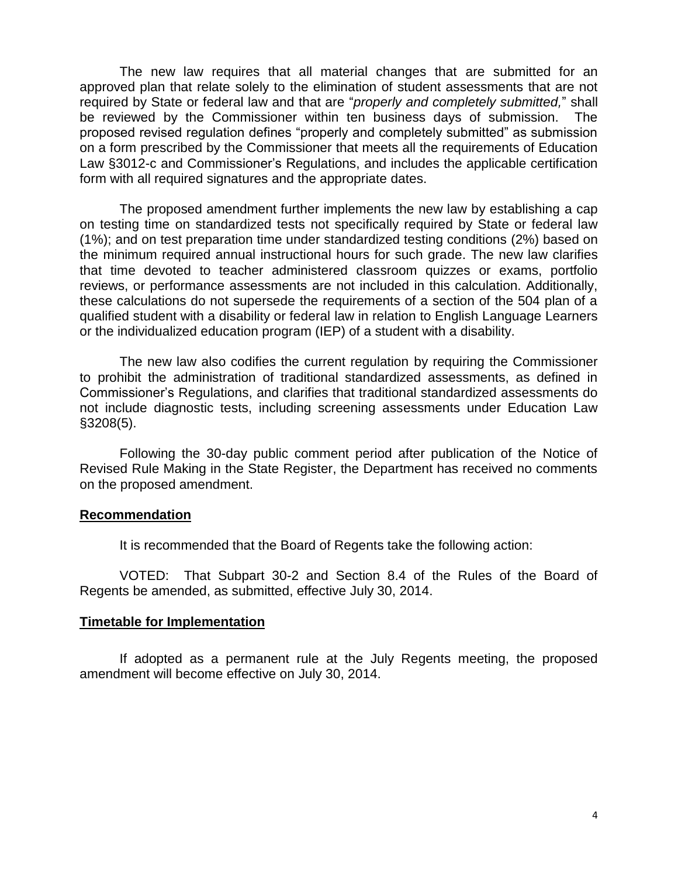The new law requires that all material changes that are submitted for an approved plan that relate solely to the elimination of student assessments that are not required by State or federal law and that are "*properly and completely submitted,*" shall be reviewed by the Commissioner within ten business days of submission. The proposed revised regulation defines "properly and completely submitted" as submission on a form prescribed by the Commissioner that meets all the requirements of Education Law §3012-c and Commissioner's Regulations, and includes the applicable certification form with all required signatures and the appropriate dates.

The proposed amendment further implements the new law by establishing a cap on testing time on standardized tests not specifically required by State or federal law (1%); and on test preparation time under standardized testing conditions (2%) based on the minimum required annual instructional hours for such grade. The new law clarifies that time devoted to teacher administered classroom quizzes or exams, portfolio reviews, or performance assessments are not included in this calculation. Additionally, these calculations do not supersede the requirements of a section of the 504 plan of a qualified student with a disability or federal law in relation to English Language Learners or the individualized education program (IEP) of a student with a disability.

The new law also codifies the current regulation by requiring the Commissioner to prohibit the administration of traditional standardized assessments, as defined in Commissioner's Regulations, and clarifies that traditional standardized assessments do not include diagnostic tests, including screening assessments under Education Law §3208(5).

Following the 30-day public comment period after publication of the Notice of Revised Rule Making in the State Register, the Department has received no comments on the proposed amendment.

#### **Recommendation**

It is recommended that the Board of Regents take the following action:

VOTED: That Subpart 30-2 and Section 8.4 of the Rules of the Board of Regents be amended, as submitted, effective July 30, 2014.

#### **Timetable for Implementation**

If adopted as a permanent rule at the July Regents meeting, the proposed amendment will become effective on July 30, 2014.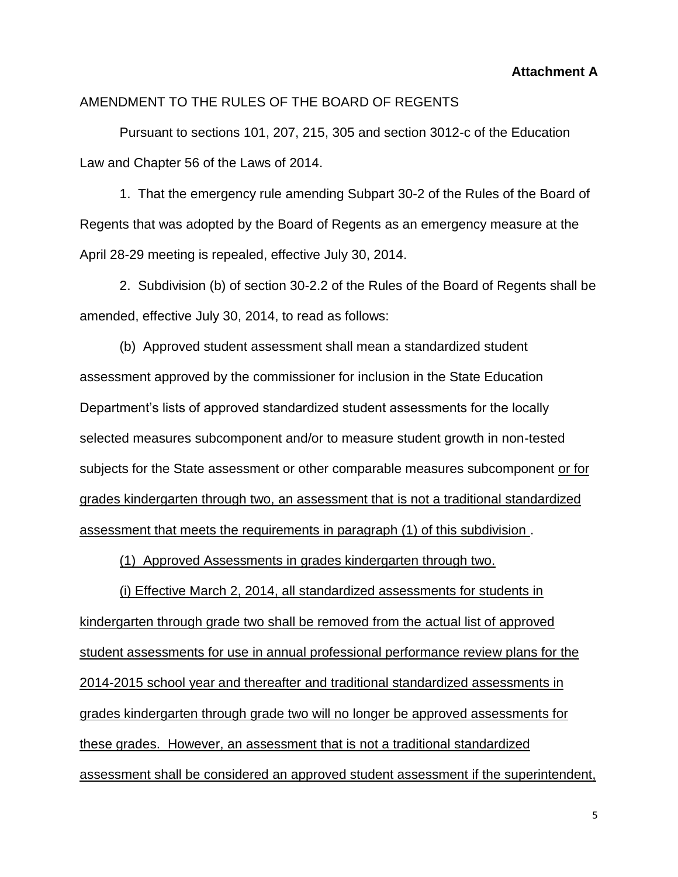**Attachment A**

#### AMENDMENT TO THE RULES OF THE BOARD OF REGENTS

Pursuant to sections 101, 207, 215, 305 and section 3012-c of the Education Law and Chapter 56 of the Laws of 2014.

1. That the emergency rule amending Subpart 30-2 of the Rules of the Board of Regents that was adopted by the Board of Regents as an emergency measure at the April 28-29 meeting is repealed, effective July 30, 2014.

2. Subdivision (b) of section 30-2.2 of the Rules of the Board of Regents shall be amended, effective July 30, 2014, to read as follows:

(b) Approved student assessment shall mean a standardized student assessment approved by the commissioner for inclusion in the State Education Department's lists of approved standardized student assessments for the locally selected measures subcomponent and/or to measure student growth in non-tested subjects for the State assessment or other comparable measures subcomponent or for grades kindergarten through two, an assessment that is not a traditional standardized assessment that meets the requirements in paragraph (1) of this subdivision .

(1) Approved Assessments in grades kindergarten through two.

(i) Effective March 2, 2014, all standardized assessments for students in kindergarten through grade two shall be removed from the actual list of approved student assessments for use in annual professional performance review plans for the 2014-2015 school year and thereafter and traditional standardized assessments in grades kindergarten through grade two will no longer be approved assessments for these grades. However, an assessment that is not a traditional standardized assessment shall be considered an approved student assessment if the superintendent,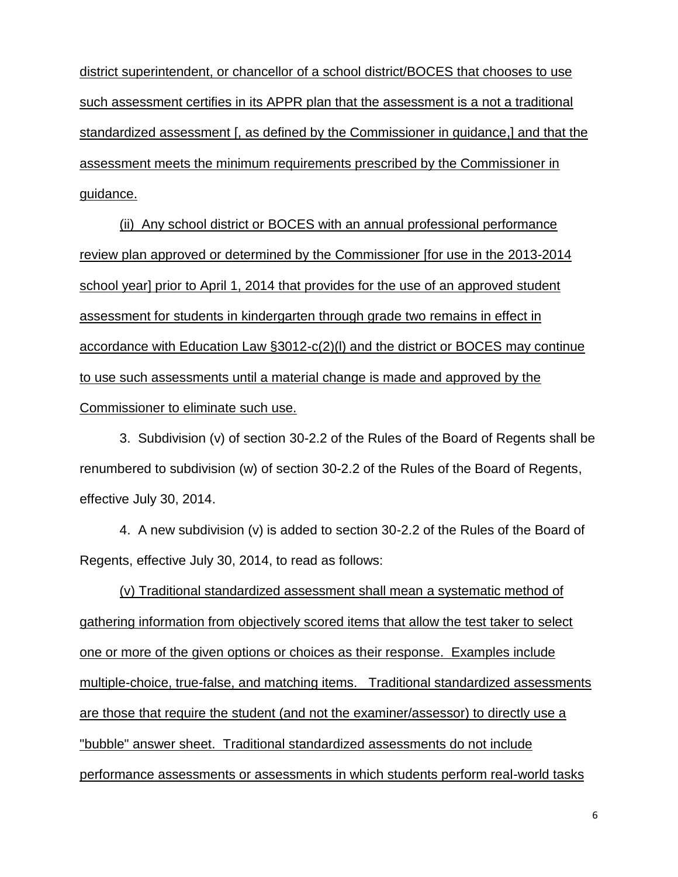district superintendent, or chancellor of a school district/BOCES that chooses to use such assessment certifies in its APPR plan that the assessment is a not a traditional standardized assessment [, as defined by the Commissioner in guidance,] and that the assessment meets the minimum requirements prescribed by the Commissioner in guidance.

(ii) Any school district or BOCES with an annual professional performance review plan approved or determined by the Commissioner [for use in the 2013-2014 school year] prior to April 1, 2014 that provides for the use of an approved student assessment for students in kindergarten through grade two remains in effect in accordance with Education Law §3012-c(2)(l) and the district or BOCES may continue to use such assessments until a material change is made and approved by the Commissioner to eliminate such use.

3. Subdivision (v) of section 30-2.2 of the Rules of the Board of Regents shall be renumbered to subdivision (w) of section 30-2.2 of the Rules of the Board of Regents, effective July 30, 2014.

4. A new subdivision (v) is added to section 30-2.2 of the Rules of the Board of Regents, effective July 30, 2014, to read as follows:

(v) Traditional standardized assessment shall mean a systematic method of gathering information from objectively scored items that allow the test taker to select one or more of the given options or choices as their response. Examples include multiple-choice, true-false, and matching items. Traditional standardized assessments are those that require the student (and not the examiner/assessor) to directly use a "bubble" answer sheet. Traditional standardized assessments do not include performance assessments or assessments in which students perform real-world tasks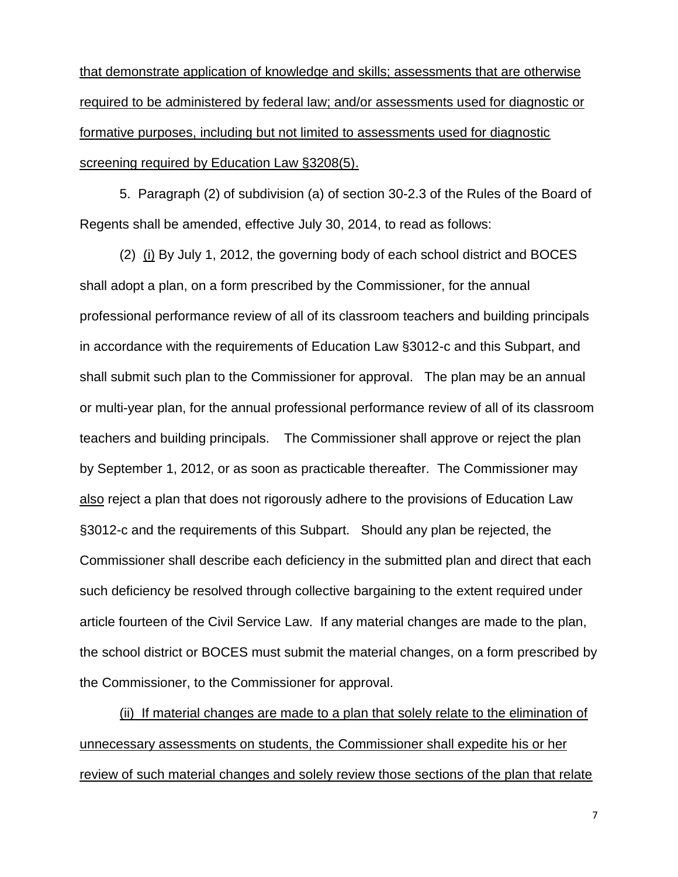that demonstrate application of knowledge and skills; assessments that are otherwise required to be administered by federal law; and/or assessments used for diagnostic or formative purposes, including but not limited to assessments used for diagnostic screening required by Education Law §3208(5).

5. Paragraph (2) of subdivision (a) of section 30-2.3 of the Rules of the Board of Regents shall be amended, effective July 30, 2014, to read as follows:

(2) (i) By July 1, 2012, the governing body of each school district and BOCES shall adopt a plan, on a form prescribed by the Commissioner, for the annual professional performance review of all of its classroom teachers and building principals in accordance with the requirements of Education Law §3012-c and this Subpart, and shall submit such plan to the Commissioner for approval. The plan may be an annual or multi-year plan, for the annual professional performance review of all of its classroom teachers and building principals. The Commissioner shall approve or reject the plan by September 1, 2012, or as soon as practicable thereafter. The Commissioner may also reject a plan that does not rigorously adhere to the provisions of Education Law §3012-c and the requirements of this Subpart. Should any plan be rejected, the Commissioner shall describe each deficiency in the submitted plan and direct that each such deficiency be resolved through collective bargaining to the extent required under article fourteen of the Civil Service Law. If any material changes are made to the plan, the school district or BOCES must submit the material changes, on a form prescribed by the Commissioner, to the Commissioner for approval.

(ii) If material changes are made to a plan that solely relate to the elimination of unnecessary assessments on students, the Commissioner shall expedite his or her review of such material changes and solely review those sections of the plan that relate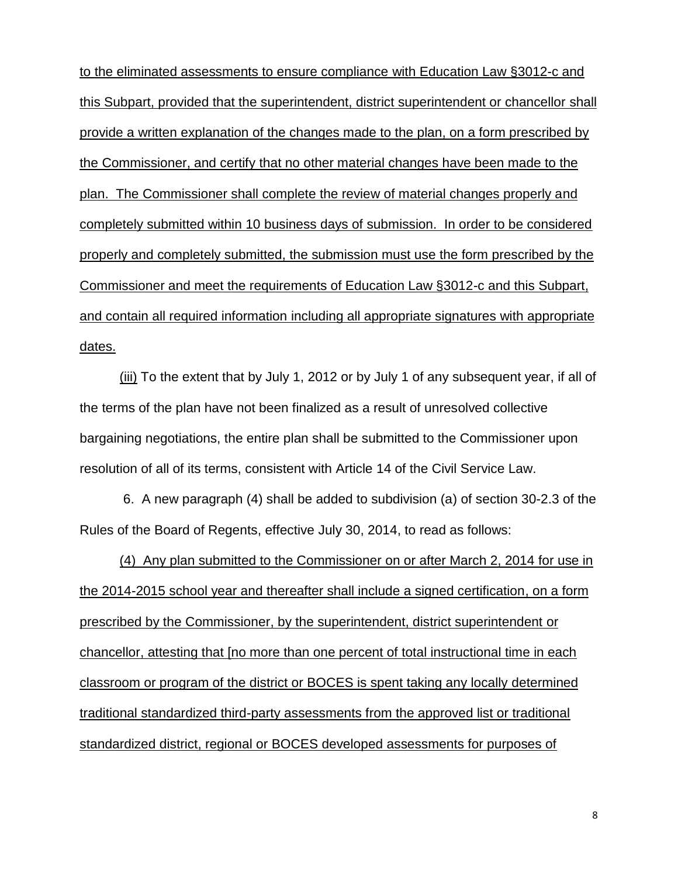to the eliminated assessments to ensure compliance with Education Law §3012-c and this Subpart, provided that the superintendent, district superintendent or chancellor shall provide a written explanation of the changes made to the plan, on a form prescribed by the Commissioner, and certify that no other material changes have been made to the plan.The Commissioner shall complete the review of material changes properly and completely submitted within 10 business days of submission. In order to be considered properly and completely submitted, the submission must use the form prescribed by the Commissioner and meet the requirements of Education Law §3012-c and this Subpart, and contain all required information including all appropriate signatures with appropriate dates.

(iii) To the extent that by July 1, 2012 or by July 1 of any subsequent year, if all of the terms of the plan have not been finalized as a result of unresolved collective bargaining negotiations, the entire plan shall be submitted to the Commissioner upon resolution of all of its terms, consistent with Article 14 of the Civil Service Law.

6. A new paragraph (4) shall be added to subdivision (a) of section 30-2.3 of the Rules of the Board of Regents, effective July 30, 2014, to read as follows:

(4) Any plan submitted to the Commissioner on or after March 2, 2014 for use in the 2014-2015 school year and thereafter shall include a signed certification, on a form prescribed by the Commissioner, by the superintendent, district superintendent or chancellor, attesting that [no more than one percent of total instructional time in each classroom or program of the district or BOCES is spent taking any locally determined traditional standardized third-party assessments from the approved list or traditional standardized district, regional or BOCES developed assessments for purposes of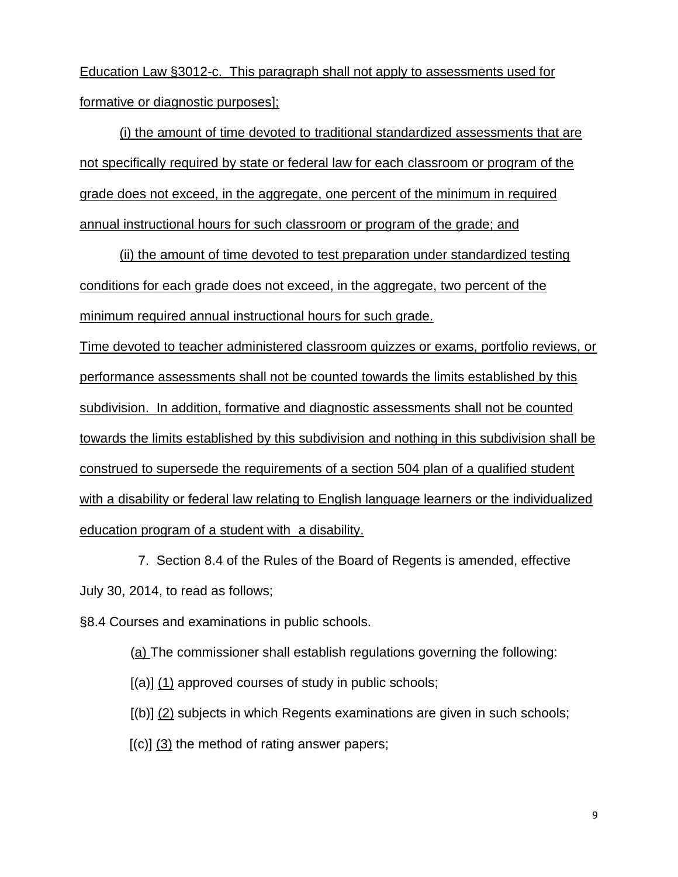Education Law §3012-c. This paragraph shall not apply to assessments used for formative or diagnostic purposes];

(i) the amount of time devoted to traditional standardized assessments that are not specifically required by state or federal law for each classroom or program of the grade does not exceed, in the aggregate, one percent of the minimum in required annual instructional hours for such classroom or program of the grade; and

(ii) the amount of time devoted to test preparation under standardized testing conditions for each grade does not exceed, in the aggregate, two percent of the minimum required annual instructional hours for such grade.

Time devoted to teacher administered classroom quizzes or exams, portfolio reviews, or performance assessments shall not be counted towards the limits established by this subdivision. In addition, formative and diagnostic assessments shall not be counted towards the limits established by this subdivision and nothing in this subdivision shall be construed to supersede the requirements of a section 504 plan of a qualified student with a disability or federal law relating to English language learners or the individualized education program of a student with a disability.

 7. Section 8.4 of the Rules of the Board of Regents is amended, effective July 30, 2014, to read as follows;

§8.4 Courses and examinations in public schools.

(a) The commissioner shall establish regulations governing the following:

 $[(a)]$  (1) approved courses of study in public schools;

[(b)] (2) subjects in which Regents examinations are given in such schools;

 $[(c)]$  (3) the method of rating answer papers;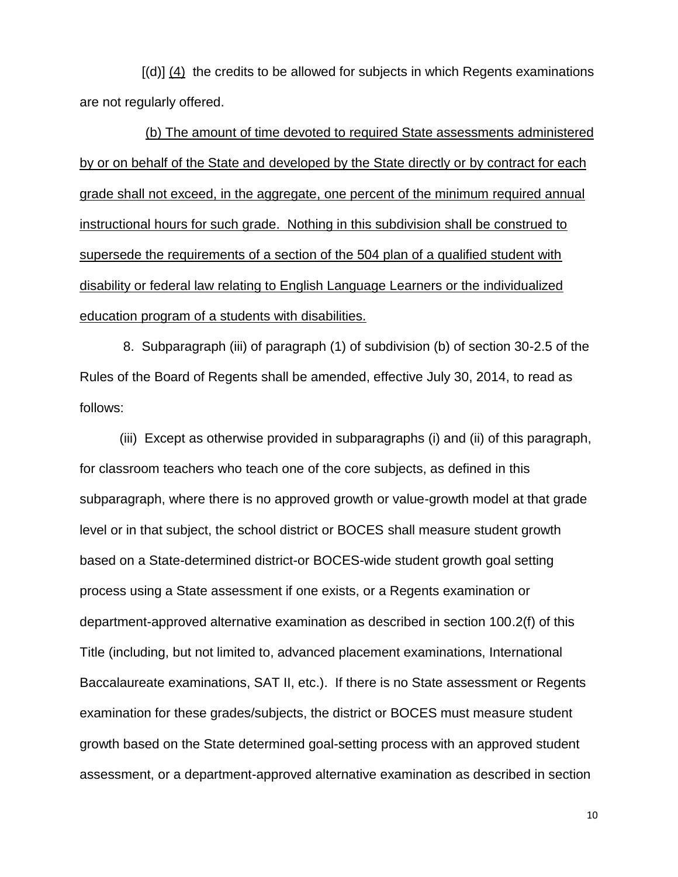$[(d)]$  (4) the credits to be allowed for subjects in which Regents examinations are not regularly offered.

 (b) The amount of time devoted to required State assessments administered by or on behalf of the State and developed by the State directly or by contract for each grade shall not exceed, in the aggregate, one percent of the minimum required annual instructional hours for such grade. Nothing in this subdivision shall be construed to supersede the requirements of a section of the 504 plan of a qualified student with disability or federal law relating to English Language Learners or the individualized education program of a students with disabilities.

8. Subparagraph (iii) of paragraph (1) of subdivision (b) of section 30-2.5 of the Rules of the Board of Regents shall be amended, effective July 30, 2014, to read as follows:

(iii) Except as otherwise provided in subparagraphs (i) and (ii) of this paragraph, for classroom teachers who teach one of the core subjects, as defined in this subparagraph, where there is no approved growth or value-growth model at that grade level or in that subject, the school district or BOCES shall measure student growth based on a State-determined district-or BOCES-wide student growth goal setting process using a State assessment if one exists, or a Regents examination or department-approved alternative examination as described in section 100.2(f) of this Title (including, but not limited to, advanced placement examinations, International Baccalaureate examinations, SAT II, etc.). If there is no State assessment or Regents examination for these grades/subjects, the district or BOCES must measure student growth based on the State determined goal-setting process with an approved student assessment, or a department-approved alternative examination as described in section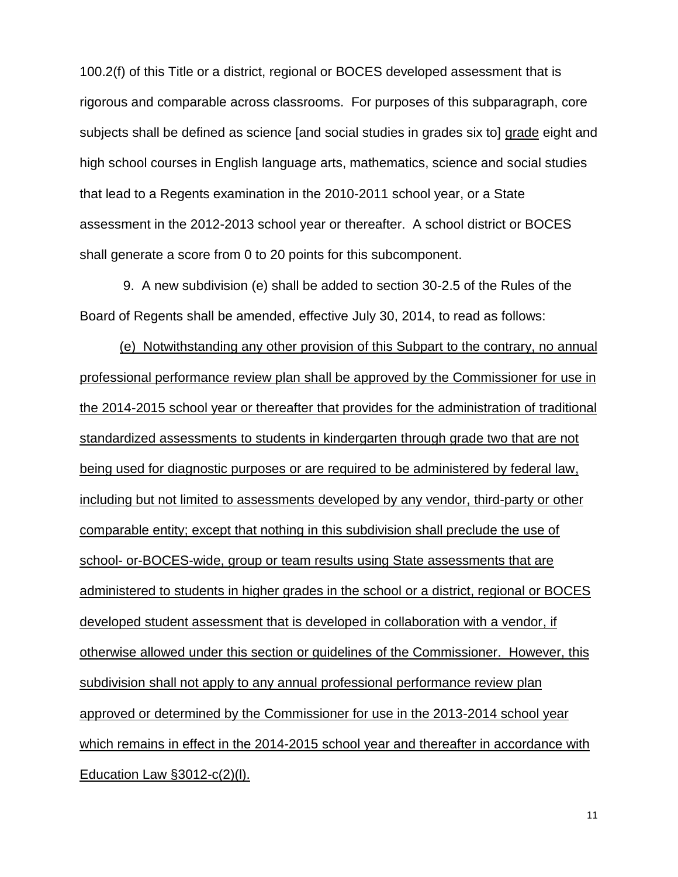100.2(f) of this Title or a district, regional or BOCES developed assessment that is rigorous and comparable across classrooms. For purposes of this subparagraph, core subjects shall be defined as science [and social studies in grades six to] grade eight and high school courses in English language arts, mathematics, science and social studies that lead to a Regents examination in the 2010-2011 school year, or a State assessment in the 2012-2013 school year or thereafter. A school district or BOCES shall generate a score from 0 to 20 points for this subcomponent.

9. A new subdivision (e) shall be added to section 30-2.5 of the Rules of the Board of Regents shall be amended, effective July 30, 2014, to read as follows:

(e) Notwithstanding any other provision of this Subpart to the contrary, no annual professional performance review plan shall be approved by the Commissioner for use in the 2014-2015 school year or thereafter that provides for the administration of traditional standardized assessments to students in kindergarten through grade two that are not being used for diagnostic purposes or are required to be administered by federal law, including but not limited to assessments developed by any vendor, third-party or other comparable entity; except that nothing in this subdivision shall preclude the use of school- or-BOCES-wide, group or team results using State assessments that are administered to students in higher grades in the school or a district, regional or BOCES developed student assessment that is developed in collaboration with a vendor, if otherwise allowed under this section or guidelines of the Commissioner. However, this subdivision shall not apply to any annual professional performance review plan approved or determined by the Commissioner for use in the 2013-2014 school year which remains in effect in the 2014-2015 school year and thereafter in accordance with Education Law §3012-c(2)(l).